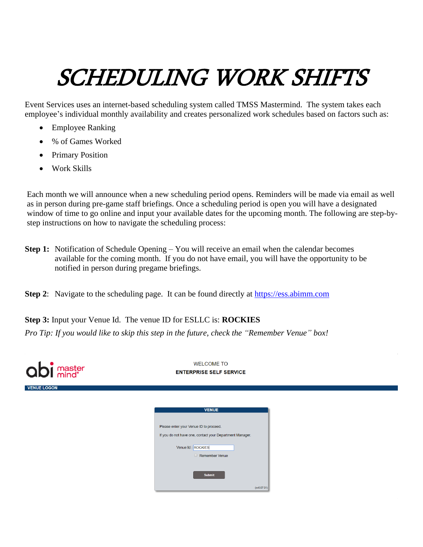## SCHEDULING WORK SHIFTS

Event Services uses an internet-based scheduling system called TMSS Mastermind. The system takes each employee's individual monthly availability and creates personalized work schedules based on factors such as:

- Employee Ranking
- % of Games Worked
- Primary Position
- Work Skills

Each month we will announce when a new scheduling period opens. Reminders will be made via email as well as in person during pre-game staff briefings. Once a scheduling period is open you will have a designated window of time to go online and input your available dates for the upcoming month. The following are step-bystep instructions on how to navigate the scheduling process:

- **Step 1:** Notification of Schedule Opening You will receive an email when the calendar becomes available for the coming month. If you do not have email, you will have the opportunity to be notified in person during pregame briefings.
- **Step 2:** Navigate to the scheduling page. It can be found directly at [https://ess.abimm.com](https://ess.abimm.com/)

**Step 3:** Input your Venue Id. The venue ID for ESLLC is: **ROCKIES** *Pro Tip: If you would like to skip this step in the future, check the "Remember Venue" box!* 

| abi master         | <b>WELCOME TO</b><br><b>ENTERPRISE SELF SERVICE</b>      |  |  |  |
|--------------------|----------------------------------------------------------|--|--|--|
| <b>VENUE LOGON</b> |                                                          |  |  |  |
|                    | <b>VENUE</b><br>Please enter your Venue ID to proceed.   |  |  |  |
|                    | If you do not have one, contact your Department Manager. |  |  |  |
|                    | Venue Id: ROCKIES<br>Remember Venue                      |  |  |  |
|                    | <b>Submit</b>                                            |  |  |  |
|                    | (sv6.07.01)                                              |  |  |  |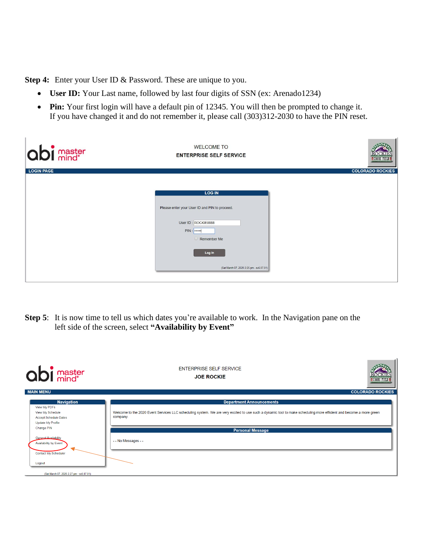**Step 4:** Enter your User ID & Password. These are unique to you.

- **User ID:** Your Last name, followed by last four digits of SSN (ex: Arenado1234)
- **Pin:** Your first login will have a default pin of 12345. You will then be prompted to change it. If you have changed it and do not remember it, please call (303)312-2030 to have the PIN reset.

 $\mathbf{r}$ 

| <b>abi</b> master | <b>WELCOME TO</b><br><b>ENTERPRISE SELF SERVICE</b>                                                                                                                         | <b>ECOORS FIELD</b>     |
|-------------------|-----------------------------------------------------------------------------------------------------------------------------------------------------------------------------|-------------------------|
| <b>LOGIN PAGE</b> |                                                                                                                                                                             | <b>COLORADO ROCKIES</b> |
|                   | <b>LOG IN</b><br>Please enter your User ID and PIN to proceed.<br>User ID: ROCKIE8888<br>$PIN:$<br>$\Box$ Remember Me<br>Log In<br>(Sat March 07, 2020 2:25 pm - sv6.07.01) |                         |

**Step 5**: It is now time to tell us which dates you're available to work. In the Navigation pane on the left side of the screen, select **"Availability by Event"**

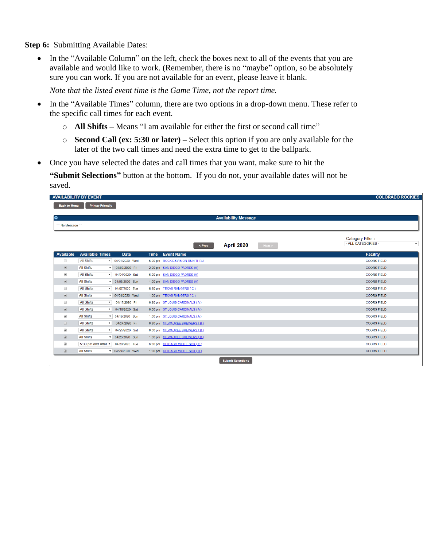**Step 6:** Submitting Available Dates:

• In the "Available Column" on the left, check the boxes next to all of the events that you are available and would like to work. (Remember, there is no "maybe" option, so be absolutely sure you can work. If you are not available for an event, please leave it blank.

*Note that the listed event time is the Game Time, not the report time.*

- In the "Available Times" column, there are two options in a drop-down menu. These refer to the specific call times for each event.
	- o **All Shifts –** Means "I am available for either the first or second call time"
	- o **Second Call (ex: 5:30 or later) –** Select this option if you are only available for the later of the two call times and need the extra time to get to the ballpark.
- Once you have selected the dates and call times that you want, make sure to hit the

**"Submit Selections"** button at the bottom. If you do not, your available dates will not be saved.

|                          | <b>AVAILABILITY BY EVENT</b><br><b>COLORADO ROCKIES</b> |                            |                                |                      |                                          |  |  |  |
|--------------------------|---------------------------------------------------------|----------------------------|--------------------------------|----------------------|------------------------------------------|--|--|--|
|                          | <b>Printer Friendly</b><br><b>Back to Menu</b>          |                            |                                |                      |                                          |  |  |  |
|                          |                                                         |                            |                                |                      |                                          |  |  |  |
| ۰                        | <b>Availability Message</b>                             |                            |                                |                      |                                          |  |  |  |
| $==$ No Message $==$     |                                                         |                            |                                |                      |                                          |  |  |  |
|                          |                                                         |                            |                                |                      |                                          |  |  |  |
|                          |                                                         |                            |                                |                      | <b>Category Filter:</b>                  |  |  |  |
|                          |                                                         |                            | < Prev                         | April 2020<br>Next > | - ALL CATEGORIES -<br>$\pmb{\mathrm{v}}$ |  |  |  |
| <b>Available</b>         | <b>Available Times</b>                                  | <b>Date</b><br><b>Time</b> | <b>Event Name</b>              |                      | <b>Facility</b>                          |  |  |  |
| $\Box$                   | <b>All Shifts</b><br>$\boldsymbol{\mathrm{v}}$          | 04/01/2020 Wed             | 6:00 pm ROCKIESVISION RUN THRU |                      | <b>COORS FIELD</b>                       |  |  |  |
| $\overline{\mathcal{C}}$ | <b>All Shifts</b><br>$\mathbf{v}$                       | 04/03/2020 Fri             | 2:00 pm SAN DIEGO PADRES (A)   |                      | <b>COORS FIELD</b>                       |  |  |  |
| $\blacktriangledown$     | <b>All Shifts</b><br>$\mathbf{v}$                       | 04/04/2020 Sat             | 6:00 pm SAN DIEGO PADRES (A)   |                      | <b>COORS FIELD</b>                       |  |  |  |
| $\overline{\mathcal{C}}$ | <b>All Shifts</b>                                       | v 04/05/2020 Sun           | 1:00 pm SAN DIEGO PADRES (A)   |                      | <b>COORS FIELD</b>                       |  |  |  |
| $\Box$                   | <b>All Shifts</b><br>$\mathbf{v}$                       | 04/07/2020 Tue             | 6:30 pm TEXAS RANGERS (C)      |                      | <b>COORS FIELD</b>                       |  |  |  |
| $\overline{\mathcal{L}}$ | <b>All Shifts</b>                                       | v 04/08/2020 Wed           | 1:00 pm TEXAS RANGERS (C)      |                      | <b>COORS FIELD</b>                       |  |  |  |
| 0                        | <b>All Shifts</b><br>$\pmb{\mathrm{v}}$                 | 04/17/2020 Fri             | 6:30 pm ST LOUIS CARDINALS (A) |                      | <b>COORS FIELD</b>                       |  |  |  |
| $\overline{\mathcal{L}}$ | <b>All Shifts</b><br>$\pmb{\mathrm{v}}$                 | 04/18/2020 Sat             | 6:00 pm ST LOUIS CARDINALS (A) |                      | <b>COORS FIELD</b>                       |  |  |  |
| $\overline{\mathcal{L}}$ | <b>All Shifts</b>                                       | ▼ 04/19/2020 Sun           | 1:00 pm ST LOUIS CARDINALS (A) |                      | <b>COORS FIELD</b>                       |  |  |  |
| $\Box$                   | <b>All Shifts</b><br>$\mathbf{v}$                       | 04/24/2020 Fri             | 6:30 pm MILWAUKEE BREWERS (B)  |                      | <b>COORS FIELD</b>                       |  |  |  |
| $\blacktriangledown$     | <b>All Shifts</b><br>$\mathbf{v}$                       | 04/25/2020 Sat             | 6:00 pm MILWAUKEE BREWERS (B)  |                      | <b>COORS FIELD</b>                       |  |  |  |
| $\overline{\mathscr{L}}$ | <b>All Shifts</b>                                       | v 04/26/2020 Sun           | 1:00 pm MILWAUKEE BREWERS (B)  |                      | <b>COORS FIELD</b>                       |  |  |  |
| $\blacktriangledown$     | 5:30 pm and After v                                     | 04/28/2020 Tue             | 6:30 pm CHICAGO WHITE SOX (C)  |                      | <b>COORS FIELD</b>                       |  |  |  |
| $\overline{\mathcal{L}}$ | <b>All Shifts</b>                                       | v 04/29/2020 Wed           | 1:00 pm CHICAGO WHITE SOX (B)  |                      | <b>COORS FIELD</b>                       |  |  |  |
|                          | <b>Submit Selections</b>                                |                            |                                |                      |                                          |  |  |  |